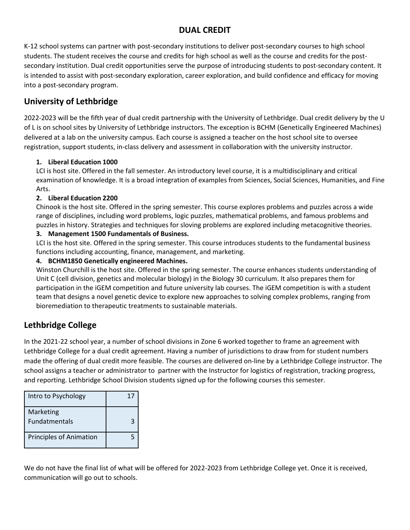### **DUAL CREDIT**

K-12 school systems can partner with post-secondary institutions to deliver post-secondary courses to high school students. The student receives the course and credits for high school as well as the course and credits for the postsecondary institution. Dual credit opportunities serve the purpose of introducing students to post-secondary content. It is intended to assist with post-secondary exploration, career exploration, and build confidence and efficacy for moving into a post-secondary program.

# **University of Lethbridge**

2022-2023 will be the fifth year of dual credit partnership with the University of Lethbridge. Dual credit delivery by the U of L is on school sites by University of Lethbridge instructors. The exception is BCHM (Genetically Engineered Machines) delivered at a lab on the university campus. Each course is assigned a teacher on the host school site to oversee registration, support students, in-class delivery and assessment in collaboration with the university instructor.

### **1. Liberal Education 1000**

LCI is host site. Offered in the fall semester. An introductory level course, it is a multidisciplinary and critical examination of knowledge. It is a broad integration of examples from Sciences, Social Sciences, Humanities, and Fine Arts.

### **2. Liberal Education 2200**

Chinook is the host site. Offered in the spring semester. This course explores problems and puzzles across a wide range of disciplines, including word problems, logic puzzles, mathematical problems, and famous problems and puzzles in history. Strategies and techniques for sloving problems are explored including metacognitive theories.

### **3. Management 1500 Fundamentals of Business.**

LCI is the host site. Offered in the spring semester. This course introduces students to the fundamental business functions including accounting, finance, management, and marketing.

#### **4. BCHM1850 Genetically engineered Machines.**

Winston Churchill is the host site. Offered in the spring semester. The course enhances students understanding of Unit C (cell division, genetics and molecular biology) in the Biology 30 curriculum. It also prepares them for participation in the iGEM competition and future university lab courses. The iGEM competition is with a student team that designs a novel genetic device to explore new approaches to solving complex problems, ranging from bioremediation to therapeutic treatments to sustainable materials.

## **Lethbridge College**

In the 2021-22 school year, a number of school divisions in Zone 6 worked together to frame an agreement with Lethbridge College for a dual credit agreement. Having a number of jurisdictions to draw from for student numbers made the offering of dual credit more feasible. The courses are delivered on-line by a Lethbridge College instructor. The school assigns a teacher or administrator to partner with the Instructor for logistics of registration, tracking progress, and reporting. Lethbridge School Division students signed up for the following courses this semester.

| Intro to Psychology               | 1. |
|-----------------------------------|----|
| Marketing<br><b>Fundatmentals</b> |    |
| <b>Principles of Animation</b>    |    |

We do not have the final list of what will be offered for 2022-2023 from Lethbridge College yet. Once it is received, communication will go out to schools.